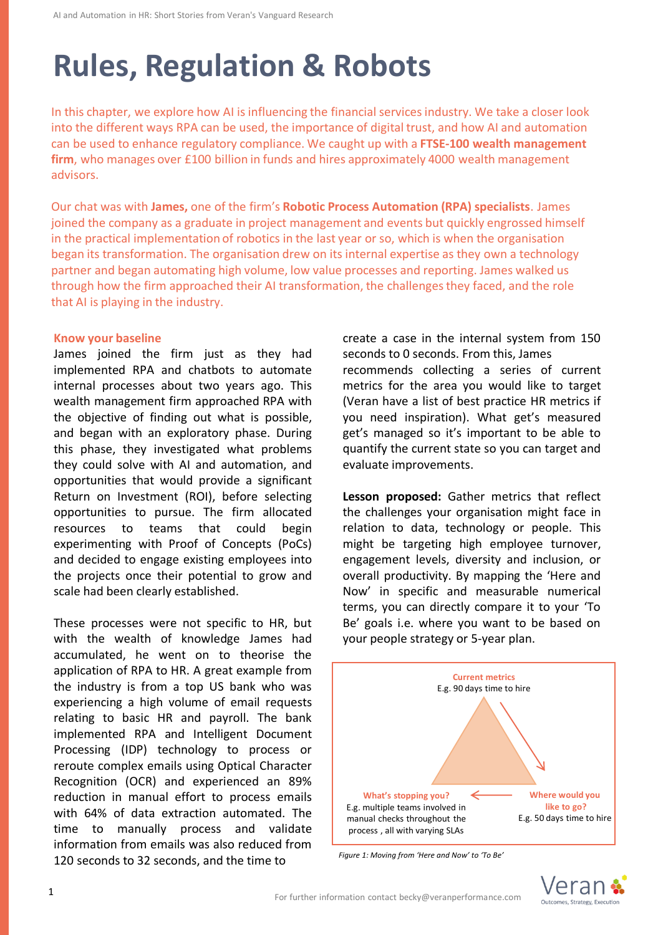# **Rules, Regulation & Robots**

In this chapter, we explore how AI is influencing the financial services industry. We take a closer look into the different ways RPA can be used, the importance of digital trust, and how AI and automation can be used to enhance regulatory compliance. We caught up with a **FTSE-100 wealth management firm**, who manages over £100 billion in funds and hires approximately 4000 wealth management advisors.

Our chat was with **James,** one of the firm's **Robotic Process Automation (RPA) specialists**. James joined the company as a graduate in project management and events but quickly engrossed himself in the practical implementation of robotics in the last year or so, which is when the organisation began its transformation. The organisation drew on its internal expertise as they own a technology partner and began automating high volume, low value processes and reporting. James walked us through how the firm approached their AI transformation, the challenges they faced, and the role that AI is playing in the industry.

#### **Know your baseline**

James joined the firm just as they had implemented RPA and chatbots to automate internal processes about two years ago. This wealth management firm approached RPA with the objective of finding out what is possible, and began with an exploratory phase. During this phase, they investigated what problems they could solve with AI and automation, and opportunities that would provide a significant Return on Investment (ROI), before selecting opportunities to pursue. The firm allocated resources to teams that could begin experimenting with Proof of Concepts (PoCs) and decided to engage existing employees into the projects once their potential to grow and scale had been clearly established.

These processes were not specific to HR, but with the wealth of knowledge James had accumulated, he went on to theorise the application of RPA to HR. A great example from the industry is from a top US bank who was experiencing a high volume of email requests relating to basic HR and payroll. The bank implemented RPA and Intelligent Document Processing (IDP) technology to process or reroute complex emails using Optical Character Recognition (OCR) and experienced an 89% reduction in manual effort to process emails with 64% of data extraction automated. The time to manually process and validate information from emails was also reduced from 120 seconds to 32 seconds, and the time to

create a case in the internal system from 150 seconds to 0 seconds. From this, James recommends collecting a series of current metrics for the area you would like to target (Veran have a list of best practice HR metrics if you need inspiration). What get's measured get's managed so it's important to be able to quantify the current state so you can target and evaluate improvements.

**Lesson proposed:** Gather metrics that reflect the challenges your organisation might face in relation to data, technology or people. This might be targeting high employee turnover, engagement levels, diversity and inclusion, or overall productivity. By mapping the 'Here and Now' in specific and measurable numerical terms, you can directly compare it to your 'To Be' goals i.e. where you want to be based on your people strategy or 5-year plan.



*Figure 1: Moving from 'Here and Now' to 'To Be'* 

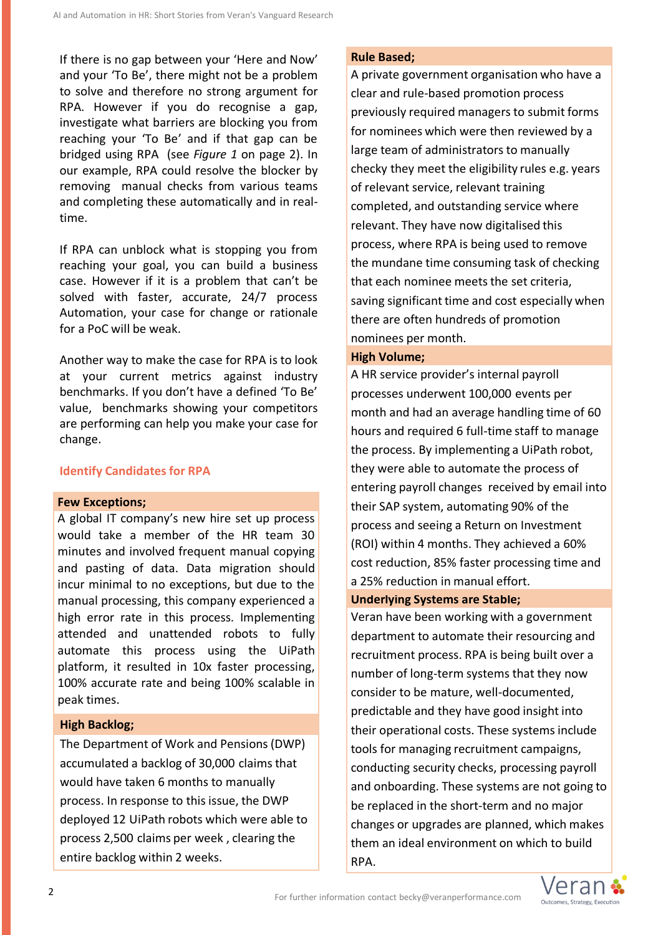If there is no gap between your 'Here and Now' and your 'To Be', there might not be a problem to solve and therefore no strong argument for RPA. However if you do recognise a gap, investigate what barriers are blocking you from reaching your 'To Be' and if that gap can be bridged using RPA (see *Figure 1* on page 2). In our example, RPA could resolve the blocker by removing manual checks from various teams and completing these automatically and in realtime.

If RPA can unblock what is stopping you from reaching your goal, you can build a business case. However if it is a problem that can't be solved with faster, accurate, 24/7 process Automation, your case for change or rationale for a PoC will be weak.

Another way to make the case for RPA is to look at your current metrics against industry benchmarks. If you don't have a defined 'To Be' value, benchmarks showing your competitors are performing can help you make your case for change.

# **Identify Candidates for RPA**

#### **Few Exceptions;**

A global IT company's new hire set up process would take a member of the HR team 30 minutes and involved frequent manual copying and pasting of data. Data migration should incur minimal to no exceptions, but due to the manual processing, this company experienced a high error rate in this process. Implementing attended and unattended robots to fully automate this process using the UiPath platform, it resulted in 10x faster processing, 100% accurate rate and being 100% scalable in peak times.

# **High Backlog;**

The Department of Work and Pensions (DWP) accumulated a backlog of 30,000 claims that would have taken 6 months to manually process. In response to this issue, the DWP deployed 12 UiPath robots which were able to process 2,500 claims per week , clearing the entire backlog within 2 weeks.

#### **Rule Based;**

A private government organisation who have a clear and rule-based promotion process previously required managers to submit forms for nominees which were then reviewed by a large team of administrators to manually checky they meet the eligibility rules e.g. years of relevant service, relevant training completed, and outstanding service where relevant. They have now digitalised this process, where RPA is being used to remove the mundane time consuming task of checking that each nominee meets the set criteria, saving significant time and cost especially when there are often hundreds of promotion nominees per month.

#### **High Volume;**

A HR service provider's internal payroll processes underwent 100,000 events per month and had an average handling time of 60 hours and required 6 full-time staff to manage the process. By implementing a UiPath robot, they were able to automate the process of entering payroll changes received by email into their SAP system, automating 90% of the process and seeing a Return on Investment (ROI) within 4 months. They achieved a 60% cost reduction, 85% faster processing time and a 25% reduction in manual effort.

## **Underlying Systems are Stable;**

Veran have been working with a government department to automate their resourcing and recruitment process. RPA is being built over a number of long-term systems that they now consider to be mature, well-documented, predictable and they have good insight into their operational costs. These systems include tools for managing recruitment campaigns, conducting security checks, processing payroll and onboarding. These systems are not going to be replaced in the short-term and no major changes or upgrades are planned, which makes them an ideal environment on which to build RPA.

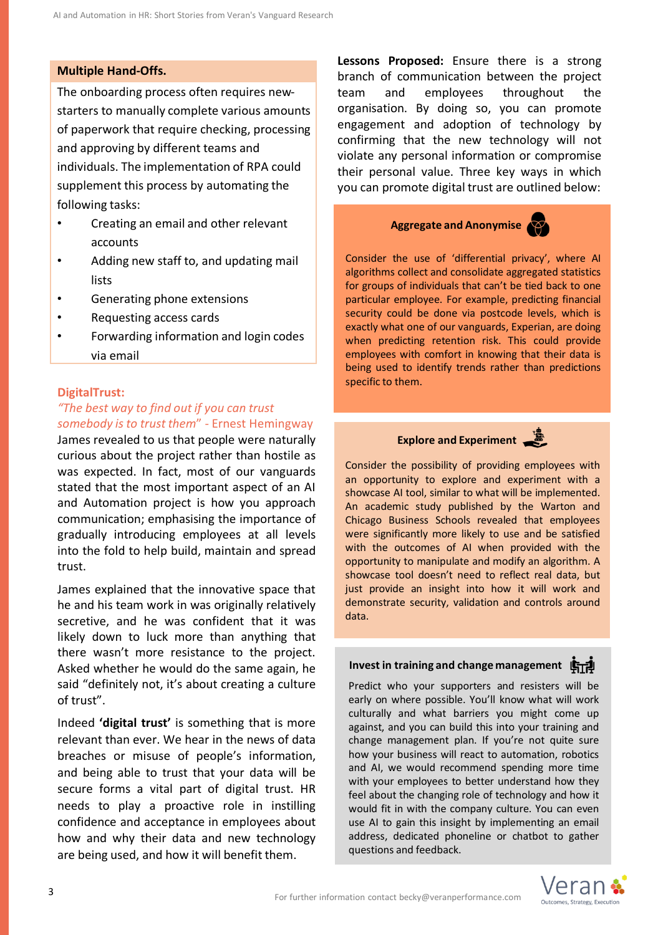# **Multiple Hand-Offs.**

The onboarding process often requires newstarters to manually complete various amounts of paperwork that require checking, processing and approving by different teams and individuals. The implementation of RPA could supplement this process by automating the following tasks:

- Creating an email and other relevant accounts
- Adding new staff to, and updating mail lists
- Generating phone extensions
- Requesting access cards
- Forwarding information and login codes via email

#### **DigitalTrust:**

# *"The best way to find out if you can trust somebody is to trust them*" - Ernest Hemingway

James revealed to us that people were naturally curious about the project rather than hostile as was expected. In fact, most of our vanguards stated that the most important aspect of an AI and Automation project is how you approach communication; emphasising the importance of gradually introducing employees at all levels into the fold to help build, maintain and spread trust.

James explained that the innovative space that he and his team work in was originally relatively secretive, and he was confident that it was likely down to luck more than anything that there wasn't more resistance to the project. Asked whether he would do the same again, he said "definitely not, it's about creating a culture of trust".

Indeed **'digital trust'** is something that is more relevant than ever. We hear in the news of data breaches or misuse of people's information, and being able to trust that your data will be secure forms a vital part of digital trust. HR needs to play a proactive role in instilling confidence and acceptance in employees about how and why their data and new technology are being used, and how it will benefit them.

**Lessons Proposed:** Ensure there is a strong branch of communication between the project team and employees throughout the organisation. By doing so, you can promote engagement and adoption of technology by confirming that the new technology will not violate any personal information or compromise their personal value. Three key ways in which you can promote digital trust are outlined below:

# **Aggregate and Anonymise**

Consider the use of 'differential privacy', where AI algorithms collect and consolidate aggregated statistics for groups of individuals that can't be tied back to one particular employee. For example, predicting financial security could be done via postcode levels, which is exactly what one of our vanguards, Experian, are doing when predicting retention risk. This could provide employees with comfort in knowing that their data is being used to identify trends rather than predictions specific to them.

# **Explore and Experiment**

Consider the possibility of providing employees with an opportunity to explore and experiment with a showcase AI tool, similar to what will be implemented. An academic study published by the Warton and Chicago Business Schools revealed that employees were significantly more likely to use and be satisfied with the outcomes of AI when provided with the opportunity to manipulate and modify an algorithm. A showcase tool doesn't need to reflect real data, but just provide an insight into how it will work and demonstrate security, validation and controls around data.

#### **Invest in training and change management**

Predict who your supporters and resisters will be early on where possible. You'll know what will work culturally and what barriers you might come up against, and you can build this into your training and change management plan. If you're not quite sure how your business will react to automation, robotics and AI, we would recommend spending more time with your employees to better understand how they feel about the changing role of technology and how it would fit in with the company culture. You can even use AI to gain this insight by implementing an email address, dedicated phoneline or chatbot to gather questions and feedback.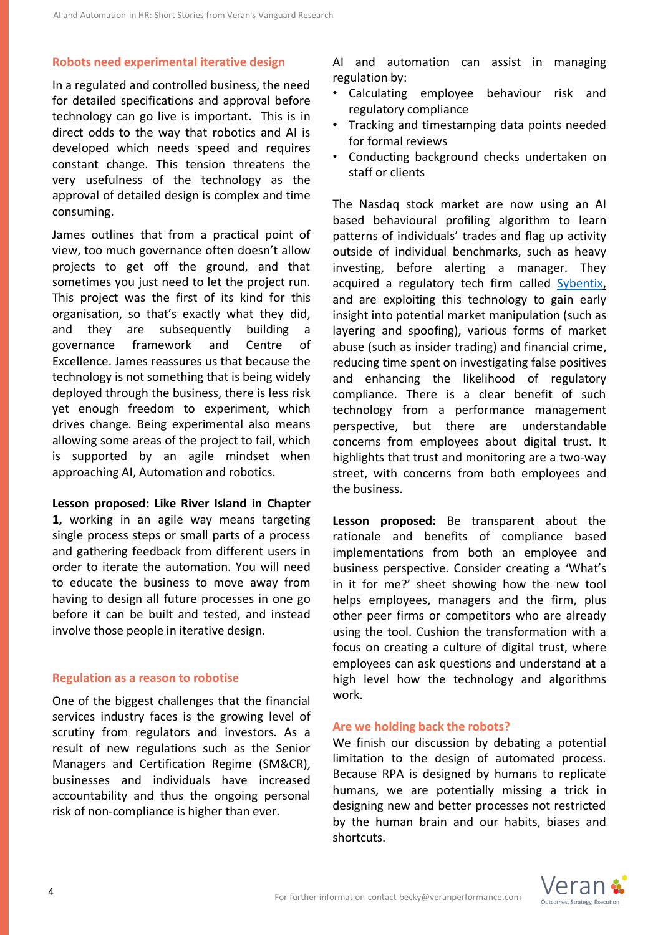## **Robots need experimental iterative design**

In a regulated and controlled business, the need for detailed specifications and approval before technology can go live is important. This is in direct odds to the way that robotics and AI is developed which needs speed and requires constant change. This tension threatens the very usefulness of the technology as the approval of detailed design is complex and time consuming.

James outlines that from a practical point of view, too much governance often doesn't allow projects to get off the ground, and that sometimes you just need to let the project run. This project was the first of its kind for this organisation, so that's exactly what they did, and they are subsequently building a governance framework and Centre of Excellence. James reassures us that because the technology is not something that is being widely deployed through the business, there is less risk yet enough freedom to experiment, which drives change. Being experimental also means allowing some areas of the project to fail, which is supported by an agile mindset when approaching AI, Automation and robotics.

#### **Lesson proposed: Like River Island in Chapter**

**1,** working in an agile way means targeting single process steps or small parts of a process and gathering feedback from different users in order to iterate the automation. You will need to educate the business to move away from having to design all future processes in one go before it can be built and tested, and instead involve those people in iterative design.

#### **Regulation as a reason to robotise**

One of the biggest challenges that the financial services industry faces is the growing level of scrutiny from regulators and investors. As a result of new regulations such as the Senior Managers and Certification Regime (SM&CR), businesses and individuals have increased accountability and thus the ongoing personal risk of non-compliance is higher than ever.

AI and automation can assist in managing regulation by:

- Calculating employee behaviour risk and regulatory compliance
- Tracking and timestamping data points needed for formal reviews
- Conducting background checks undertaken on staff or clients

The Nasdaq stock market are now using an AI based behavioural profiling algorithm to learn patterns of individuals' trades and flag up activity outside of individual benchmarks, such as heavy investing, before alerting a manager. They acquired a regulatory tech firm called [Sybentix,](https://business.nasdaq.com/market-tech/market-participants/Nasdaq-Buy-Side-Compliance) and are exploiting this technology to gain early insight into potential market manipulation (such as layering and spoofing), various forms of market abuse (such as insider trading) and financial crime, reducing time spent on investigating false positives and enhancing the likelihood of regulatory compliance. There is a clear benefit of such technology from a performance management perspective, but there are understandable concerns from employees about digital trust. It highlights that trust and monitoring are a two-way street, with concerns from both employees and the business.

**Lesson proposed:** Be transparent about the rationale and benefits of compliance based implementations from both an employee and business perspective. Consider creating a 'What's in it for me?' sheet showing how the new tool helps employees, managers and the firm, plus other peer firms or competitors who are already using the tool. Cushion the transformation with a focus on creating a culture of digital trust, where employees can ask questions and understand at a high level how the technology and algorithms work.

#### **Are we holding back the robots?**

We finish our discussion by debating a potential limitation to the design of automated process. Because RPA is designed by humans to replicate humans, we are potentially missing a trick in designing new and better processes not restricted by the human brain and our habits, biases and shortcuts.